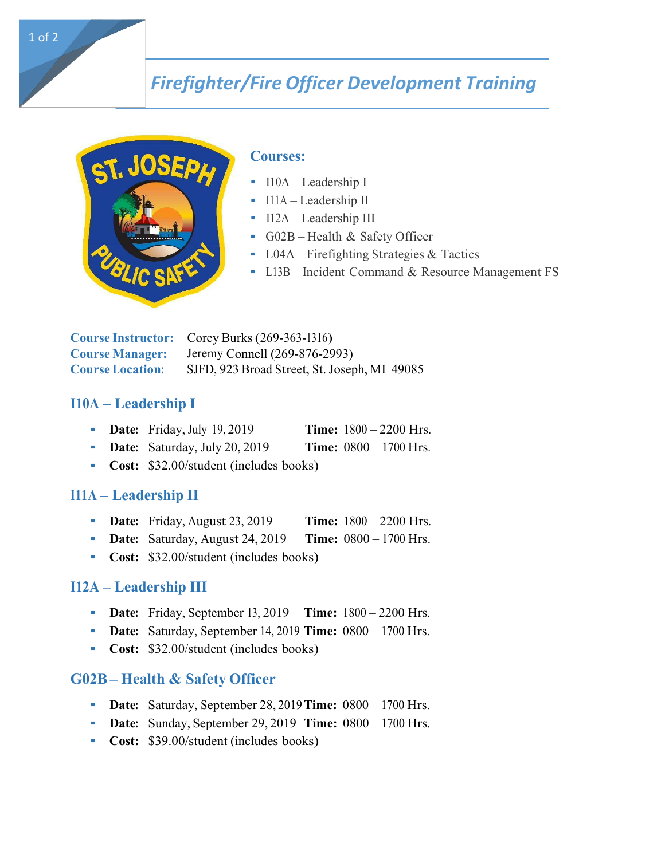# *Firefighter/Fire Officer Development Training*



#### **Courses:**

- $-I10A Leadership I$
- $II1A -$ Leadership II
- $-I12A Leadership III$
- G02B Health & Safety Officer
- $LO4A Firefighting Strategies & Tactics$
- $L13B$  Incident Command & Resource Management FS

**Course Instructor:** Corey Burks (269-363-1316) **Course Manager:** Jeremy Connell (269-876-2993) **Course Location:** SJFD, 923 Broad Street, St. Joseph, MI 49085

#### **I10A – Leadership I**

- **Date:** Friday, July 19, 2019 **Time:**  $1800 2200$  Hrs.
- **Date:** Saturday, July 20, 2019 **Time:**  $0800 1700$  Hrs.
- **Cost:** \$32.00/student (includes books)

#### **I11A – Leadership II**

- **Date:** Friday, August 23, 2019 **Time:**  $1800 2200$  Hrs.
- **Date:** Saturday, August 24, 2019 **Time:**  $0800 1700$  Hrs.
- **Cost:** \$32.00/student (includes books)

#### **I12A – Leadership III**

- **Date:** Friday, September 13, 2019 **Time:**  $1800 2200$  Hrs.
- **Date:** Saturday, September 14, 2019 **Time:**  $0800 1700$  Hrs.
- **Cost:** \$32.00/student (includes books)

#### **G02B – Health & Safety Officer**

- **Date:** Saturday, September 28, 2019 **Time:**  $0800 1700$  Hrs.
- **Date:** Sunday, September 29, 2019 **Time:**  $0800 1700$  Hrs.
- **Cost:** \$39.00/student (includes books)